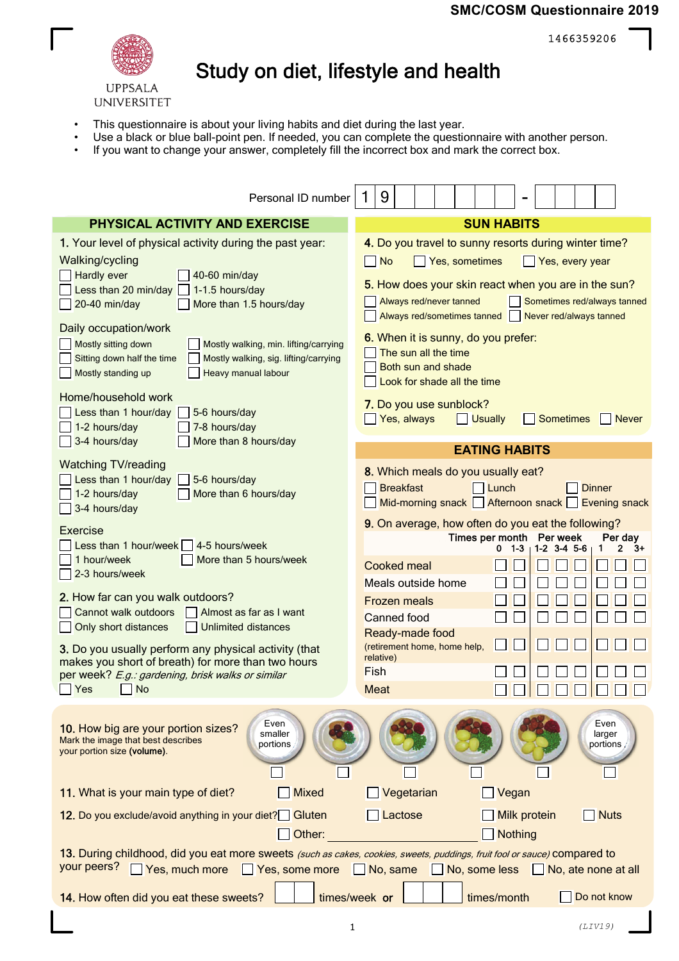## **SMC/COSM Questionnaire 2019**

1466359206



## Study on diet, lifestyle and health

- This questionnaire is about your living habits and diet during the last year.
- Use a black or blue ball-point pen. If needed, you can complete the questionnaire with another person.
- If you want to change your answer, completely fill the incorrect box and mark the correct box.

| Personal ID number                                                                                                                                                                                                                                 | 9                                                                                                                                                                          |  |  |  |  |  |  |
|----------------------------------------------------------------------------------------------------------------------------------------------------------------------------------------------------------------------------------------------------|----------------------------------------------------------------------------------------------------------------------------------------------------------------------------|--|--|--|--|--|--|
| PHYSICAL ACTIVITY AND EXERCISE                                                                                                                                                                                                                     | <b>SUN HABITS</b>                                                                                                                                                          |  |  |  |  |  |  |
| 1. Your level of physical activity during the past year:<br>Walking/cycling<br>Hardly ever<br>40-60 min/day                                                                                                                                        | 4. Do you travel to sunny resorts during winter time?<br>Yes, sometimes<br><b>No</b><br>Yes, every year<br>$\perp$<br>5. How does your skin react when you are in the sun? |  |  |  |  |  |  |
| Less than 20 min/day<br>1-1.5 hours/day<br>20-40 min/day<br>More than 1.5 hours/day<br>Daily occupation/work                                                                                                                                       | Always red/never tanned<br>Sometimes red/always tanned<br>Always red/sometimes tanned<br>Never red/always tanned                                                           |  |  |  |  |  |  |
| Mostly sitting down<br>Mostly walking, min. lifting/carrying<br>Sitting down half the time<br>Mostly walking, sig. lifting/carrying<br>Mostly standing up<br>Heavy manual labour                                                                   | 6. When it is sunny, do you prefer:<br>The sun all the time<br>Both sun and shade<br>Look for shade all the time                                                           |  |  |  |  |  |  |
| Home/household work<br>Less than 1 hour/day<br>5-6 hours/day<br>1-2 hours/day<br>7-8 hours/day<br>3-4 hours/day<br>More than 8 hours/day                                                                                                           | 7. Do you use sunblock?<br>Yes, always<br><b>Usually</b><br><b>Sometimes</b><br><b>Never</b>                                                                               |  |  |  |  |  |  |
|                                                                                                                                                                                                                                                    | <b>EATING HABITS</b>                                                                                                                                                       |  |  |  |  |  |  |
| <b>Watching TV/reading</b><br>Less than 1 hour/day<br>5-6 hours/day<br>1-2 hours/day<br>More than 6 hours/day<br>3-4 hours/day                                                                                                                     | 8. Which meals do you usually eat?<br><b>Breakfast</b><br>Lunch<br><b>Dinner</b><br>Mid-morning snack   Afternoon snack   Evening snack                                    |  |  |  |  |  |  |
| Exercise                                                                                                                                                                                                                                           | 9. On average, how often do you eat the following?                                                                                                                         |  |  |  |  |  |  |
| Less than 1 hour/week<br>4-5 hours/week<br>1 hour/week<br>More than 5 hours/week<br>2-3 hours/week                                                                                                                                                 | Times per month<br>Per week<br>Per day<br>$1-2$ 3-4 5-6<br>$0 \t1-3$<br>1.<br>2<br>3+<br><b>Cooked meal</b>                                                                |  |  |  |  |  |  |
| 2. How far can you walk outdoors?                                                                                                                                                                                                                  | Meals outside home<br><b>Frozen meals</b>                                                                                                                                  |  |  |  |  |  |  |
| Cannot walk outdoors<br>Almost as far as I want<br><b>Unlimited distances</b><br>Only short distances                                                                                                                                              | Canned food                                                                                                                                                                |  |  |  |  |  |  |
| 3. Do you usually perform any physical activity (that                                                                                                                                                                                              | Ready-made food<br>(retirement home, home help,                                                                                                                            |  |  |  |  |  |  |
| makes you short of breath) for more than two hours                                                                                                                                                                                                 | relative)<br>Fish                                                                                                                                                          |  |  |  |  |  |  |
| per week? E.g.: gardening, brisk walks or similar<br>Yes<br><b>No</b>                                                                                                                                                                              | <b>Meat</b>                                                                                                                                                                |  |  |  |  |  |  |
| Even<br>Even<br>10. How big are your portion sizes?<br>smaller<br>larger<br>Mark the image that best describes<br>portions<br>portions<br>your portion size (volume).                                                                              |                                                                                                                                                                            |  |  |  |  |  |  |
| 11. What is your main type of diet?<br><b>Mixed</b>                                                                                                                                                                                                | Vegetarian<br>$\sqrt{\phantom{a}}$ Vegan                                                                                                                                   |  |  |  |  |  |  |
| 12. Do you exclude/avoid anything in your diet? Gluten<br>Other:                                                                                                                                                                                   | <b>Milk protein</b><br>$\Box$ Nuts<br>Lactose<br>Nothing                                                                                                                   |  |  |  |  |  |  |
| 13. During childhood, did you eat more sweets (such as cakes, cookies, sweets, puddings, fruit fool or sauce) compared to<br>your peers?<br>Yes, much more<br>Yes, some more<br>$\Box$ No, same<br>$\Box$ No, some less $\Box$ No, ate none at all |                                                                                                                                                                            |  |  |  |  |  |  |
| 14. How often did you eat these sweets?                                                                                                                                                                                                            | times/month<br>Do not know<br>times/week or                                                                                                                                |  |  |  |  |  |  |
|                                                                                                                                                                                                                                                    |                                                                                                                                                                            |  |  |  |  |  |  |

1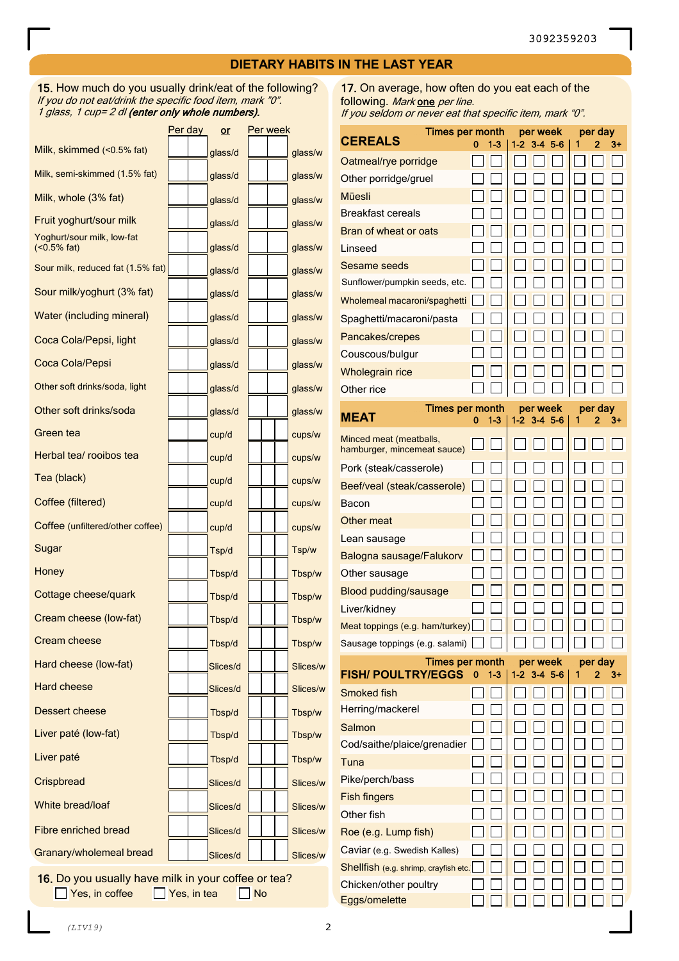## **DIETARY HABITS IN THE LAST YEAR**

15. How much do you usually drink/eat of the following? If you do not eat/drink the specific food item, mark "0". 1 glass, 1 cup= 2 dl (enter only whole numbers).

|                                              | Per day | $or$     | Per week |          |
|----------------------------------------------|---------|----------|----------|----------|
| Milk, skimmed (<0.5% fat)                    |         | glass/d  |          | glass/w  |
| Milk, semi-skimmed (1.5% fat)                |         | glass/d  |          | glass/w  |
| Milk, whole (3% fat)                         |         | glass/d  |          | glass/w  |
| Fruit yoghurt/sour milk                      |         | glass/d  |          | glass/w  |
| Yoghurt/sour milk, low-fat<br>$(<0.5\%$ fat) |         | glass/d  |          | glass/w  |
| Sour milk, reduced fat (1.5% fat)            |         | glass/d  |          | glass/w  |
| Sour milk/yoghurt (3% fat)                   |         | glass/d  |          | glass/w  |
| <b>Water (including mineral)</b>             |         | glass/d  |          | glass/w  |
| Coca Cola/Pepsi, light                       |         | glass/d  |          | glass/w  |
| Coca Cola/Pepsi                              |         | glass/d  |          | glass/w  |
| Other soft drinks/soda, light                |         | glass/d  |          | glass/w  |
| Other soft drinks/soda                       |         | glass/d  |          | glass/w  |
| Green tea                                    |         | cup/d    |          | cups/w   |
| Herbal tea/ rooibos tea                      |         | cup/d    |          | cups/w   |
| Tea (black)                                  |         | cup/d    |          | cups/w   |
| Coffee (filtered)                            |         | cup/d    |          | cups/w   |
| Coffee (unfiltered/other coffee)             |         | cup/d    |          | cups/w   |
| Sugar                                        |         | Tsp/d    |          | Tsp/w    |
| Honey                                        |         | Tbsp/d   |          | Tbsp/w   |
| Cottage cheese/quark                         |         | Tbsp/d   |          | Tbsp/w   |
| Cream cheese (low-fat)                       |         | Tbsp/d   |          | Tbsp/w   |
| Cream cheese                                 |         | Tbsp/d   |          | Tbsp/w   |
| Hard cheese (low-fat)                        |         | Slices/d |          | Slices/w |
| Hard cheese                                  |         | Slices/d |          | Slices/w |
| Dessert cheese                               |         | Tbsp/d   |          | Tbsp/w   |
| Liver paté (low-fat)                         |         | Tbsp/d   |          | Tbsp/w   |
| Liver paté                                   |         | Tbsp/d   |          | Tbsp/w   |
| Crispbread                                   |         | Slices/d |          | Slices/w |
| White bread/loaf                             |         | Slices/d |          | Slices/w |
| <b>Fibre enriched bread</b>                  |         | Slices/d |          | Slices/w |
| Granary/wholemeal bread                      |         | Slices/d |          | Slices/w |

16. Do you usually have milk in your coffee or tea?  $\Box$  Yes, in coffee  $\Box$  Yes, in tea  $\Box$  No

17. On average, how often do you eat each of the following. Mark one per line. If you seldom or never eat that specific item, mark "0".

| <b>Times per month</b><br><b>CEREALS</b>               | 0 | 1-3     | $1-2$ | per week      | 3-45-6    |   | per day<br>2   | 3+ |
|--------------------------------------------------------|---|---------|-------|---------------|-----------|---|----------------|----|
| Oatmeal/rye porridge                                   |   |         |       |               |           |   |                |    |
| Other porridge/gruel                                   |   |         |       |               |           |   |                |    |
| Müesli                                                 |   |         |       |               |           |   |                |    |
| <b>Breakfast cereals</b>                               |   |         |       |               |           |   |                |    |
| Bran of wheat or oats                                  |   |         |       |               |           |   |                |    |
| Linseed                                                |   |         |       |               |           |   |                |    |
| Sesame seeds                                           |   |         |       |               |           |   |                |    |
| Sunflower/pumpkin seeds, etc.                          |   |         |       |               |           |   |                |    |
| Wholemeal macaroni/spaghetti                           |   |         |       |               |           |   |                |    |
| Spaghetti/macaroni/pasta                               |   |         |       |               |           |   |                |    |
| Pancakes/crepes                                        |   |         |       |               |           |   |                |    |
| Couscous/bulgur                                        |   |         |       |               |           |   |                |    |
| <b>Wholegrain rice</b>                                 |   |         |       |               |           |   |                |    |
| Other rice                                             |   |         |       |               |           |   |                |    |
| <b>Times per month</b>                                 |   |         |       | per week      |           |   | per day        |    |
| <b>MEAT</b>                                            | 0 | $1 - 3$ |       | $1-2$ 3-4 5-6 |           | 1 | $\mathbf{2}$   | 3+ |
| Minced meat (meatballs,<br>hamburger, mincemeat sauce) |   |         |       |               |           |   |                |    |
| Pork (steak/casserole)                                 |   |         |       |               |           |   |                |    |
| Beef/veal (steak/casserole)                            |   |         |       |               |           |   |                |    |
| Bacon                                                  |   |         |       |               |           |   |                |    |
| Other meat                                             |   |         |       |               |           |   |                |    |
| Lean sausage                                           |   |         |       |               |           |   |                |    |
| Balogna sausage/Falukorv                               |   |         |       |               |           |   |                |    |
| Other sausage                                          |   |         |       |               |           |   |                |    |
| <b>Blood pudding/sausage</b>                           |   |         |       |               |           |   |                |    |
| Liver/kidney                                           |   |         |       |               |           |   |                |    |
| Meat toppings (e.g. ham/turkey)                        |   |         |       |               |           |   |                |    |
| Sausage toppings (e.g. salami)                         |   |         |       |               |           |   |                |    |
| <b>Times per month</b>                                 |   |         |       | per week      |           |   | per day        |    |
| <b>FISH/ POULTRY/EGGS</b>                              | 0 | $1-3$   | $1-2$ |               | $3-4$ 5-6 | 1 | $\overline{2}$ | 3+ |
| Smoked fish                                            |   |         |       |               |           |   |                |    |
| Herring/mackerel                                       |   |         |       |               |           |   |                |    |
| Salmon                                                 |   |         |       |               |           |   |                |    |
| Cod/saithe/plaice/grenadier<br>Tuna                    |   |         |       |               |           |   |                |    |
|                                                        |   |         |       |               |           |   |                |    |
| Pike/perch/bass                                        |   |         |       |               |           |   |                |    |
| <b>Fish fingers</b><br>Other fish                      |   |         |       |               |           |   |                |    |
|                                                        |   |         |       |               |           |   |                |    |
| Roe (e.g. Lump fish)                                   |   |         |       |               |           |   |                |    |
| Caviar (e.g. Swedish Kalles)                           |   |         |       |               |           |   |                |    |
| Shellfish (e.g. shrimp, crayfish etc.                  |   |         |       |               |           |   |                |    |
| Chicken/other poultry                                  |   |         |       |               |           |   |                |    |
| Eggs/omelette                                          |   |         |       |               |           |   |                |    |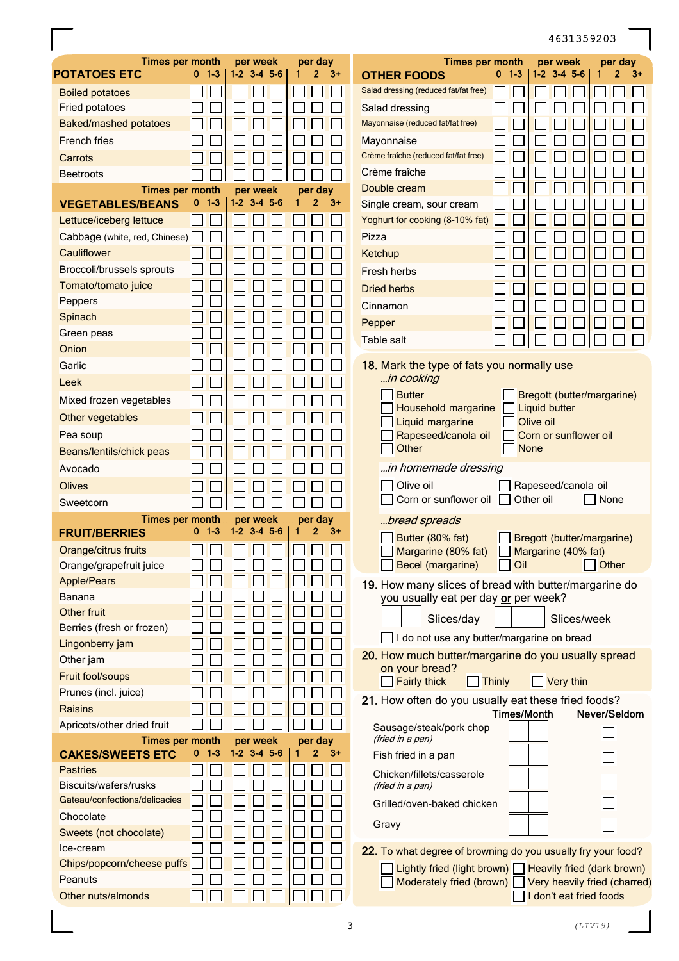## 4631359203

| Times per month<br><b>POTATOES ETC</b>   | $1 - 3$<br>0 | per week<br>$1 - 2$ 3-4 5-6         | per day<br>$\overline{2}$<br>$3+$<br>1 | <b>Times per month</b><br>per day<br>per week<br>$1 - 3$<br>$1-2$ 3-4 5-6<br>$\overline{2}$<br>0<br>1<br>3+<br><b>OTHER FOODS</b> |
|------------------------------------------|--------------|-------------------------------------|----------------------------------------|-----------------------------------------------------------------------------------------------------------------------------------|
| <b>Boiled potatoes</b>                   |              |                                     |                                        | Salad dressing (reduced fat/fat free)                                                                                             |
| Fried potatoes                           |              |                                     |                                        | Salad dressing                                                                                                                    |
| Baked/mashed potatoes                    |              |                                     |                                        | Mayonnaise (reduced fat/fat free)                                                                                                 |
| <b>French fries</b>                      |              |                                     |                                        | Mayonnaise                                                                                                                        |
| Carrots                                  |              |                                     |                                        | Crème fraîche (reduced fat/fat free)                                                                                              |
| <b>Beetroots</b>                         |              |                                     |                                        | Crème fraîche                                                                                                                     |
| <b>Times per month</b>                   |              | per week                            | per day                                | Double cream                                                                                                                      |
| <b>VEGETABLES/BEANS</b>                  | $1-3$<br>0   | $1-2$ 3-4 5-6                       | $3+$<br>1                              | Single cream, sour cream                                                                                                          |
| Lettuce/iceberg lettuce                  |              |                                     |                                        | Yoghurt for cooking (8-10% fat)                                                                                                   |
| Cabbage (white, red, Chinese)            |              |                                     |                                        | Pizza                                                                                                                             |
| Cauliflower                              |              |                                     |                                        | Ketchup                                                                                                                           |
| Broccoli/brussels sprouts                |              |                                     |                                        | <b>Fresh herbs</b>                                                                                                                |
| Tomato/tomato juice                      |              |                                     |                                        | <b>Dried herbs</b>                                                                                                                |
| Peppers                                  |              |                                     |                                        | Cinnamon                                                                                                                          |
| Spinach                                  |              |                                     |                                        | Pepper                                                                                                                            |
| Green peas                               |              |                                     |                                        | Table salt                                                                                                                        |
| Onion                                    |              |                                     |                                        |                                                                                                                                   |
| Garlic                                   |              |                                     |                                        | 18. Mark the type of fats you normally use                                                                                        |
| Leek                                     |              |                                     |                                        | in cooking                                                                                                                        |
| Mixed frozen vegetables                  |              |                                     |                                        | <b>Butter</b><br>Bregott (butter/margarine)                                                                                       |
| Other vegetables                         |              |                                     |                                        | <b>Liquid butter</b><br>Household margarine<br>Liquid margarine<br>Olive oil                                                      |
| Pea soup                                 |              |                                     |                                        | Rapeseed/canola oil<br>Corn or sunflower oil                                                                                      |
| Beans/lentils/chick peas                 |              |                                     |                                        | Other<br>None                                                                                                                     |
| Avocado                                  |              |                                     |                                        | in homemade dressing                                                                                                              |
| <b>Olives</b>                            |              |                                     |                                        | Olive oil<br>Rapeseed/canola oil                                                                                                  |
| Sweetcorn                                |              |                                     |                                        | Corn or sunflower oil<br>Other oil<br>None                                                                                        |
| <b>Times per month</b>                   |              | per week                            | per day                                | bread spreads                                                                                                                     |
| <b>FRUIT/BERRIES</b>                     | $1 - 3$<br>0 | 1-2 3-4 5-6                         | $3+$<br>1<br>2                         | Butter (80% fat)<br>Bregott (butter/margarine)                                                                                    |
| Orange/citrus fruits                     |              |                                     |                                        | Margarine (80% fat)<br>Margarine (40% fat)                                                                                        |
| Orange/grapefruit juice                  |              |                                     |                                        | Becel (margarine)<br>Oil<br>Other                                                                                                 |
| <b>Apple/Pears</b>                       |              |                                     |                                        | 19. How many slices of bread with butter/margarine do                                                                             |
| Banana                                   |              |                                     |                                        | you usually eat per day or per week?                                                                                              |
| <b>Other fruit</b>                       |              |                                     |                                        | Slices/day<br>Slices/week                                                                                                         |
| Berries (fresh or frozen)                |              |                                     |                                        | I do not use any butter/margarine on bread                                                                                        |
| Lingonberry jam                          |              |                                     |                                        |                                                                                                                                   |
| Other jam                                |              |                                     |                                        | 20. How much butter/margarine do you usually spread<br>on your bread?                                                             |
| Fruit fool/soups                         |              |                                     |                                        | <b>Fairly thick</b><br>Very thin<br><b>Thinly</b>                                                                                 |
| Prunes (incl. juice)                     |              |                                     |                                        | 21. How often do you usually eat these fried foods?                                                                               |
| <b>Raisins</b>                           |              |                                     |                                        | <b>Times/Month</b><br>Never/Seldom                                                                                                |
| Apricots/other dried fruit               |              |                                     |                                        | Sausage/steak/pork chop                                                                                                           |
| <b>Times per month</b>                   | $1 - 3$<br>0 | per week<br>$1 - 2$ $3 - 4$ $5 - 6$ | per day<br>$\mathbf{2}$<br>$3+$<br>1   | (fried in a pan)                                                                                                                  |
| <b>CAKES/SWEETS ETC</b>                  |              |                                     |                                        | Fish fried in a pan                                                                                                               |
| <b>Pastries</b><br>Biscuits/wafers/rusks |              |                                     |                                        | Chicken/fillets/casserole<br>(fried in a pan)                                                                                     |
| Gateau/confections/delicacies            |              |                                     |                                        |                                                                                                                                   |
| Chocolate                                |              |                                     |                                        | Grilled/oven-baked chicken                                                                                                        |
| Sweets (not chocolate)                   |              |                                     |                                        | Gravy                                                                                                                             |
| Ice-cream                                |              |                                     |                                        | 22. To what degree of browning do you usually fry your food?                                                                      |
| Chips/popcorn/cheese puffs               |              |                                     |                                        | Lightly fried (light brown) $\Box$ Heavily fried (dark brown)                                                                     |
| Peanuts                                  |              |                                     |                                        | Moderately fried (brown) Very heavily fried (charred)                                                                             |
| Other nuts/almonds                       |              |                                     |                                        | I don't eat fried foods                                                                                                           |